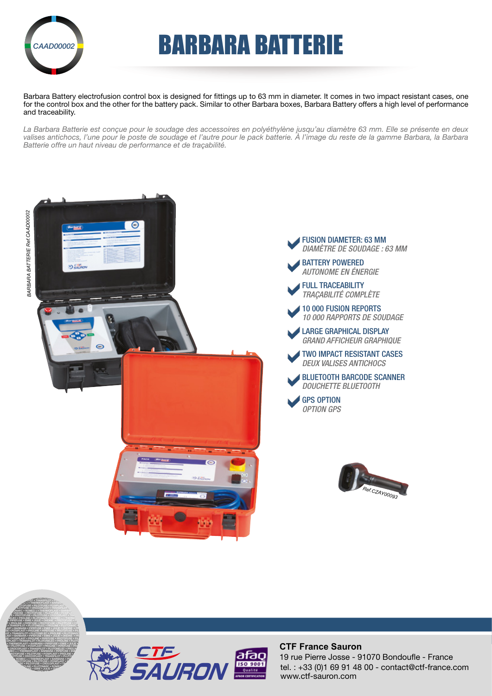

# **BARBARA BATTERIE**

Barbara Battery electrofusion control box is designed for fittings up to 63 mm in diameter. It comes in two impact resistant cases, one for the control box and the other for the battery pack. Similar to other Barbara boxes, Barbara Battery offers a high level of performance and traceability.

*La Barbara Batterie est conçue pour le soudage des accessoires en polyéthylène jusqu'au diamètre 63 mm. Elle se présente en deux valises antichocs, l'une pour le poste de soudage et l'autre pour le pack batterie. À l'image du reste de la gamme Barbara, la Barbara Batterie offre un haut niveau de performance et de traçabilité.*











### **CTF France Sauron**

tel. : +33 (0)1 69 91 48 00 - contact@ctf-france.com www.ctf-sauron.com 19 rue Pierre Josse - 91070 Bondoufle - France